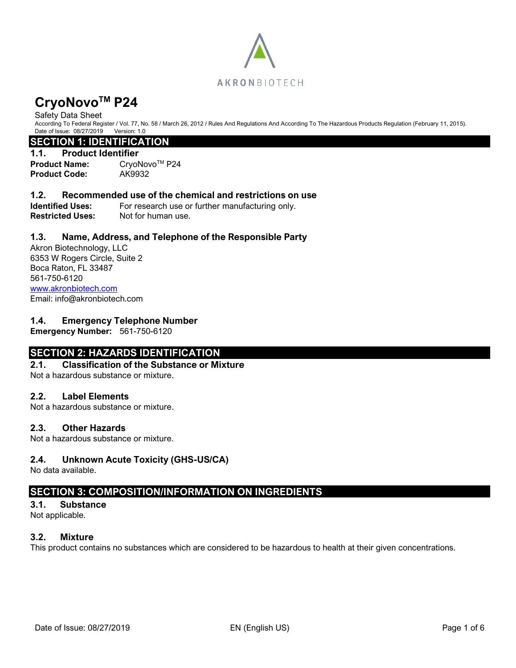

#### Safety Data Sheet

According To Federal Register / Vol. 77, No. 58 / March 26, 2012 / Rules And Regulations And According To The Hazardous Products Regulation (February 11, 2015). Date of Issue: 08/27/2019 Version: 1.0

# **SECTION 1: IDENTIFICATION**

### **1.1. Product Identifier**

**Product Name:** CryoNovo<sup>™</sup> P24 **Product Code:** AK9932

#### **1.2. Recommended use of the chemical and restrictions on use**

**Identified Uses:** For research use or further manufacturing only. **Restricted Uses:** Not for human use.

## **1.3. Name, Address, and Telephone of the Responsible Party**

Akron Biotechnology, LLC 6353 W Rogers Circle, Suite 2 Boca Raton, FL 33487 561-750-6120 [www.akronbiotech.com](http://www.akronbiotech.com/%3c/a) Email: info@akronbiotech.com

## **1.4. Emergency Telephone Number**

**Emergency Number:** 561-750-6120

# **SECTION 2: HAZARDS IDENTIFICATION**

#### **2.1. Classification of the Substance or Mixture**

Not a hazardous substance or mixture.

#### **2.2. Label Elements**

Not a hazardous substance or mixture.

#### **2.3. Other Hazards**

Not a hazardous substance or mixture.

## **2.4. Unknown Acute Toxicity (GHS-US/CA)**

No data available.

# **SECTION 3: COMPOSITION/INFORMATION ON INGREDIENTS**

#### **3.1. Substance**

Not applicable.

#### **3.2. Mixture**

This product contains no substances which are considered to be hazardous to health at their given concentrations.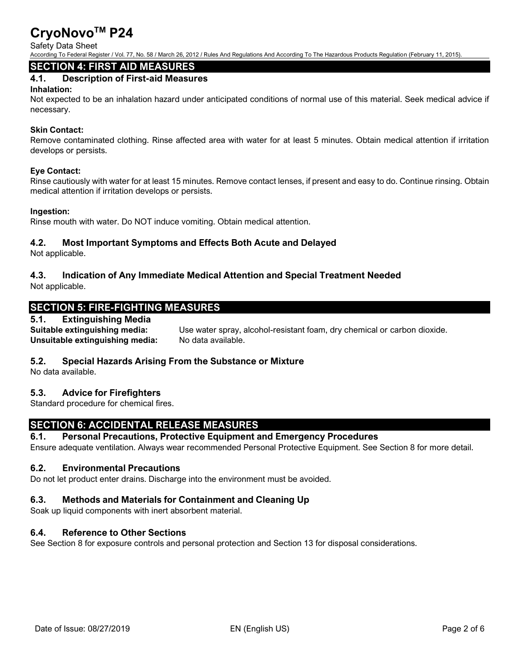## Safety Data Sheet

According To Federal Register / Vol. 77, No. 58 / March 26, 2012 / Rules And Regulations And According To The Hazardous Products Regulation (February 11, 2015).

# **SECTION 4: FIRST AID MEASURES**

# **4.1. Description of First-aid Measures**

#### **Inhalation:**

Not expected to be an inhalation hazard under anticipated conditions of normal use of this material. Seek medical advice if necessary.

### **Skin Contact:**

Remove contaminated clothing. Rinse affected area with water for at least 5 minutes. Obtain medical attention if irritation develops or persists.

#### **Eye Contact:**

Rinse cautiously with water for at least 15 minutes. Remove contact lenses, if present and easy to do. Continue rinsing. Obtain medical attention if irritation develops or persists.

#### **Ingestion:**

Rinse mouth with water. Do NOT induce vomiting. Obtain medical attention.

# **4.2. Most Important Symptoms and Effects Both Acute and Delayed**

Not applicable.

# **4.3. Indication of Any Immediate Medical Attention and Special Treatment Needed**

Not applicable.

# **SECTION 5: FIRE-FIGHTING MEASURES**

# **5.1. Extinguishing Media**

**Unsuitable extinguishing media:** No data available.

**Suitable extinguishing media:** Use water spray, alcohol-resistant foam, dry chemical or carbon dioxide.

## **5.2. Special Hazards Arising From the Substance or Mixture**

No data available.

# **5.3. Advice for Firefighters**

Standard procedure for chemical fires.

# **SECTION 6: ACCIDENTAL RELEASE MEASURES**

## **6.1. Personal Precautions, Protective Equipment and Emergency Procedures**

Ensure adequate ventilation. Always wear recommended Personal Protective Equipment. See Section 8 for more detail.

## **6.2. Environmental Precautions**

Do not let product enter drains. Discharge into the environment must be avoided.

# **6.3. Methods and Materials for Containment and Cleaning Up**

Soak up liquid components with inert absorbent material.

# **6.4. Reference to Other Sections**

See Section 8 for exposure controls and personal protection and Section 13 for disposal considerations.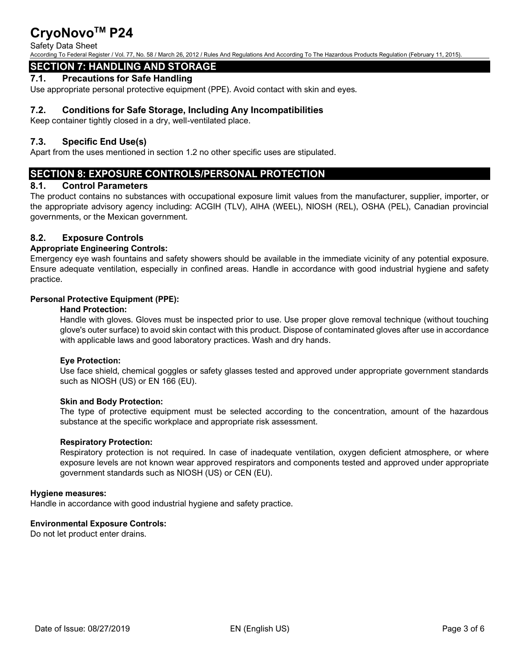#### Safety Data Sheet

According To Federal Register / Vol. 77, No. 58 / March 26, 2012 / Rules And Regulations And According To The Hazardous Products Regulation (February 11, 2015).

# **SECTION 7: HANDLING AND STORAGE**

## **7.1. Precautions for Safe Handling**

Use appropriate personal protective equipment (PPE). Avoid contact with skin and eyes.

# **7.2. Conditions for Safe Storage, Including Any Incompatibilities**

Keep container tightly closed in a dry, well-ventilated place.

# **7.3. Specific End Use(s)**

Apart from the uses mentioned in section 1.2 no other specific uses are stipulated.

# **SECTION 8: EXPOSURE CONTROLS/PERSONAL PROTECTION**

#### **8.1. Control Parameters**

The product contains no substances with occupational exposure limit values from the manufacturer, supplier, importer, or the appropriate advisory agency including: ACGIH (TLV), AIHA (WEEL), NIOSH (REL), OSHA (PEL), Canadian provincial governments, or the Mexican government.

# **8.2. Exposure Controls**

#### **Appropriate Engineering Controls:**

Emergency eye wash fountains and safety showers should be available in the immediate vicinity of any potential exposure. Ensure adequate ventilation, especially in confined areas. Handle in accordance with good industrial hygiene and safety practice.

#### **Personal Protective Equipment (PPE):**

#### **Hand Protection:**

Handle with gloves. Gloves must be inspected prior to use. Use proper glove removal technique (without touching glove's outer surface) to avoid skin contact with this product. Dispose of contaminated gloves after use in accordance with applicable laws and good laboratory practices. Wash and dry hands.

#### **Eye Protection:**

Use face shield, chemical goggles or safety glasses tested and approved under appropriate government standards such as NIOSH (US) or EN 166 (EU).

#### **Skin and Body Protection:**

The type of protective equipment must be selected according to the concentration, amount of the hazardous substance at the specific workplace and appropriate risk assessment.

#### **Respiratory Protection:**

Respiratory protection is not required. In case of inadequate ventilation, oxygen deficient atmosphere, or where exposure levels are not known wear approved respirators and components tested and approved under appropriate government standards such as NIOSH (US) or CEN (EU).

#### **Hygiene measures:**

Handle in accordance with good industrial hygiene and safety practice.

#### **Environmental Exposure Controls:**

Do not let product enter drains.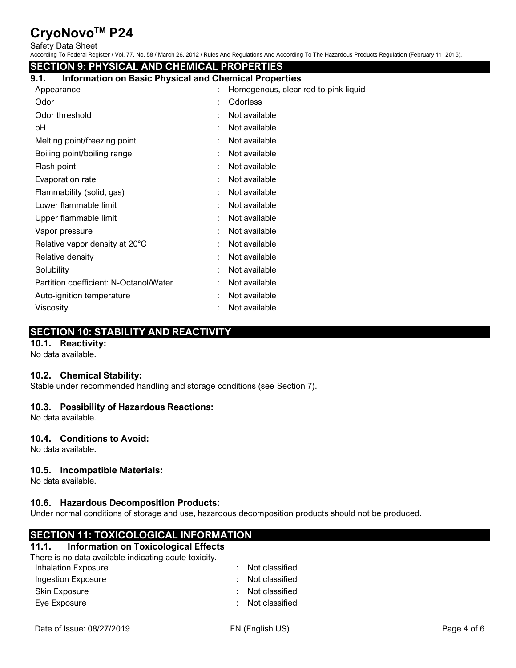Safety Data Sheet

According To Federal Register / Vol. 77, No. 58 / March 26, 2012 / Rules And Regulations And According To The Hazardous Products Regulation (February 11, 2015).

| <b>SECTION 9: PHYSICAL AND CHEMICAL PROPERTIES</b>                   |                                      |  |  |  |  |  |  |
|----------------------------------------------------------------------|--------------------------------------|--|--|--|--|--|--|
| <b>Information on Basic Physical and Chemical Properties</b><br>9.1. |                                      |  |  |  |  |  |  |
| Appearance                                                           | Homogenous, clear red to pink liquid |  |  |  |  |  |  |
| Odor                                                                 | Odorless                             |  |  |  |  |  |  |
| Odor threshold                                                       | Not available                        |  |  |  |  |  |  |
| рH                                                                   | Not available                        |  |  |  |  |  |  |
| Melting point/freezing point                                         | Not available                        |  |  |  |  |  |  |
| Boiling point/boiling range                                          | Not available                        |  |  |  |  |  |  |
| Flash point                                                          | Not available                        |  |  |  |  |  |  |
| Evaporation rate                                                     | Not available                        |  |  |  |  |  |  |
| Flammability (solid, gas)                                            | Not available                        |  |  |  |  |  |  |
| Lower flammable limit                                                | Not available                        |  |  |  |  |  |  |
| Upper flammable limit                                                | Not available                        |  |  |  |  |  |  |
| Vapor pressure                                                       | Not available                        |  |  |  |  |  |  |
| Relative vapor density at 20°C                                       | Not available                        |  |  |  |  |  |  |
| Relative density                                                     | Not available                        |  |  |  |  |  |  |
| Solubility                                                           | Not available                        |  |  |  |  |  |  |
| Partition coefficient: N-Octanol/Water                               | Not available                        |  |  |  |  |  |  |
| Auto-ignition temperature                                            | Not available                        |  |  |  |  |  |  |
| Viscosity                                                            | Not available                        |  |  |  |  |  |  |
|                                                                      |                                      |  |  |  |  |  |  |

# **SECTION 10: STABILITY AND REACTIVITY**

# **10.1. Reactivity:**

No data available.

## **10.2. Chemical Stability:**

Stable under recommended handling and storage conditions (see Section 7).

## **10.3. Possibility of Hazardous Reactions:**

No data available.

# **10.4. Conditions to Avoid:**

No data available.

## **10.5. Incompatible Materials:**

No data available.

## **10.6. Hazardous Decomposition Products:**

Under normal conditions of storage and use, hazardous decomposition products should not be produced.

# **SECTION 11: TOXICOLOGICAL INFORMATION**

#### **11.1. Information on Toxicological Effects**

There is no data available indicating acute toxicity.

| Inhalation Exposure | : Not classified |
|---------------------|------------------|
| Ingestion Exposure  | : Not classified |
| Skin Exposure       | : Not classified |
| Eye Exposure        | : Not classified |
|                     |                  |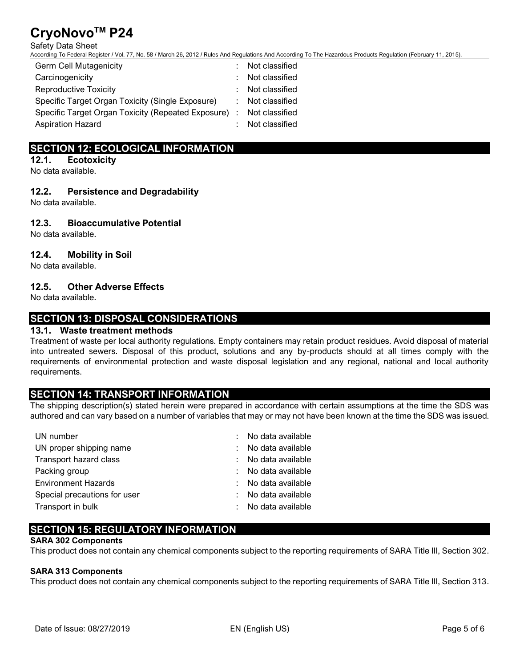#### Safety Data Sheet

According To Federal Register / Vol. 77, No. 58 / March 26, 2012 / Rules And Regulations And According To The Hazardous Products Regulation (February 11, 2015).

| Germ Cell Mutagenicity                                              | : Not classified |
|---------------------------------------------------------------------|------------------|
| Carcinogenicity                                                     | : Not classified |
| Reproductive Toxicity                                               | : Not classified |
| Specific Target Organ Toxicity (Single Exposure)                    | : Not classified |
| Specific Target Organ Toxicity (Repeated Exposure) : Not classified |                  |
| <b>Aspiration Hazard</b>                                            | : Not classified |
|                                                                     |                  |

# **SECTION 12: ECOLOGICAL INFORMATION**

#### **12.1. Ecotoxicity**

No data available.

## **12.2. Persistence and Degradability**

No data available.

# **12.3. Bioaccumulative Potential**

No data available.

# **12.4. Mobility in Soil**

No data available.

# **12.5. Other Adverse Effects**

No data available.

# **SECTION 13: DISPOSAL CONSIDERATIONS**

## **13.1. Waste treatment methods**

Treatment of waste per local authority regulations. Empty containers may retain product residues. Avoid disposal of material into untreated sewers. Disposal of this product, solutions and any by-products should at all times comply with the requirements of environmental protection and waste disposal legislation and any regional, national and local authority requirements.

# **SECTION 14: TRANSPORT INFORMATION**

The shipping description(s) stated herein were prepared in accordance with certain assumptions at the time the SDS was authored and can vary based on a number of variables that may or may not have been known at the time the SDS was issued.

| UN number                    | : No data available |
|------------------------------|---------------------|
| UN proper shipping name      | No data available   |
| Transport hazard class       | No data available   |
| Packing group                | No data available   |
| <b>Environment Hazards</b>   | No data available   |
| Special precautions for user | No data available   |
| Transport in bulk            | No data available   |

# **SECTION 15: REGULATORY INFORMATION**

#### **SARA 302 Components**

This product does not contain any chemical components subject to the reporting requirements of SARA Title III, Section 302.

#### **SARA 313 Components**

This product does not contain any chemical components subject to the reporting requirements of SARA Title III, Section 313.